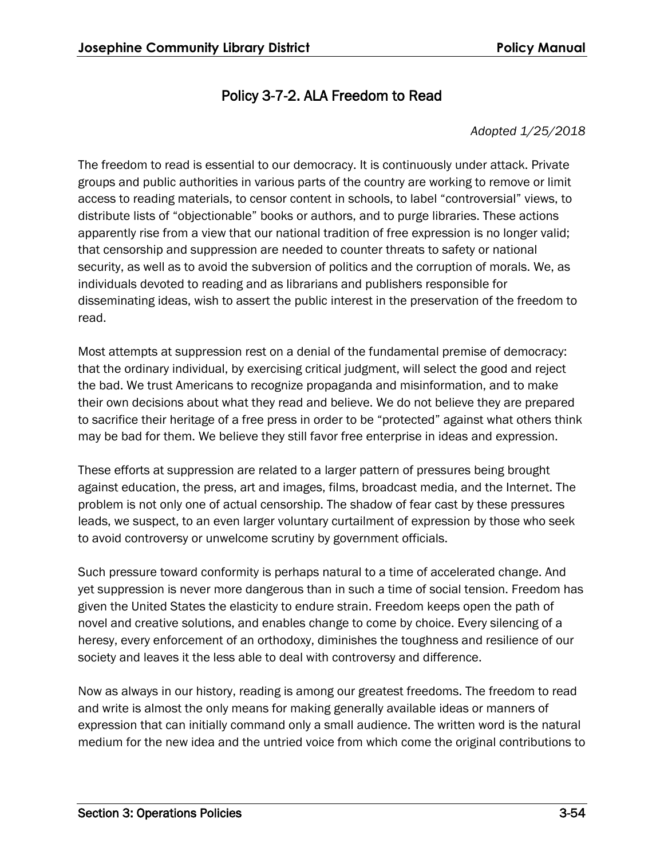## Policy 3-7-2. ALA Freedom to Read

## *Adopted 1/25/2018*

The freedom to read is essential to our democracy. It is continuously under attack. Private groups and public authorities in various parts of the country are working to remove or limit access to reading materials, to censor content in schools, to label "controversial" views, to distribute lists of "objectionable" books or authors, and to purge libraries. These actions apparently rise from a view that our national tradition of free expression is no longer valid; that censorship and suppression are needed to counter threats to safety or national security, as well as to avoid the subversion of politics and the corruption of morals. We, as individuals devoted to reading and as librarians and publishers responsible for disseminating ideas, wish to assert the public interest in the preservation of the freedom to read.

Most attempts at suppression rest on a denial of the fundamental premise of democracy: that the ordinary individual, by exercising critical judgment, will select the good and reject the bad. We trust Americans to recognize propaganda and misinformation, and to make their own decisions about what they read and believe. We do not believe they are prepared to sacrifice their heritage of a free press in order to be "protected" against what others think may be bad for them. We believe they still favor free enterprise in ideas and expression.

These efforts at suppression are related to a larger pattern of pressures being brought against education, the press, art and images, films, broadcast media, and the Internet. The problem is not only one of actual censorship. The shadow of fear cast by these pressures leads, we suspect, to an even larger voluntary curtailment of expression by those who seek to avoid controversy or unwelcome scrutiny by government officials.

Such pressure toward conformity is perhaps natural to a time of accelerated change. And yet suppression is never more dangerous than in such a time of social tension. Freedom has given the United States the elasticity to endure strain. Freedom keeps open the path of novel and creative solutions, and enables change to come by choice. Every silencing of a heresy, every enforcement of an orthodoxy, diminishes the toughness and resilience of our society and leaves it the less able to deal with controversy and difference.

Now as always in our history, reading is among our greatest freedoms. The freedom to read and write is almost the only means for making generally available ideas or manners of expression that can initially command only a small audience. The written word is the natural medium for the new idea and the untried voice from which come the original contributions to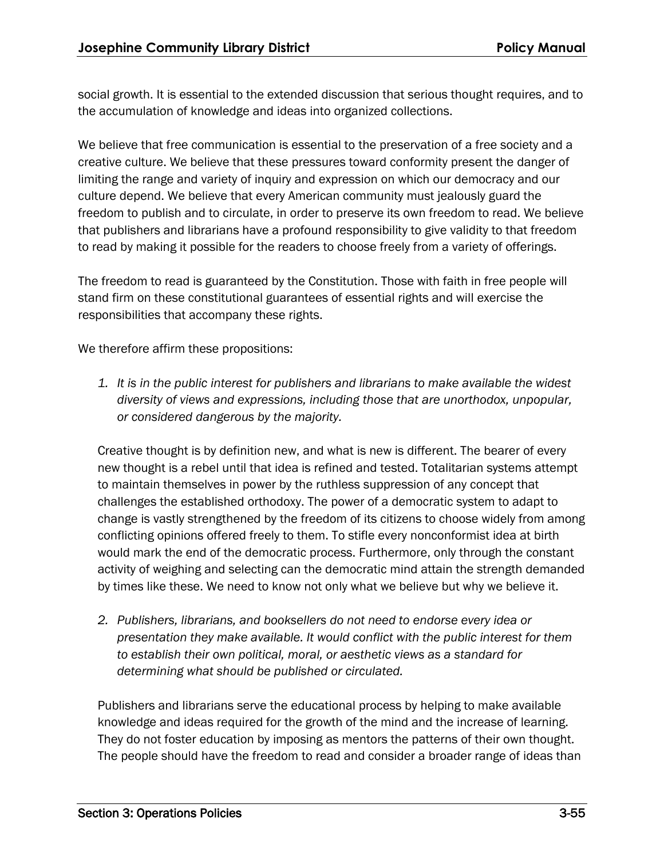social growth. It is essential to the extended discussion that serious thought requires, and to the accumulation of knowledge and ideas into organized collections.

We believe that free communication is essential to the preservation of a free society and a creative culture. We believe that these pressures toward conformity present the danger of limiting the range and variety of inquiry and expression on which our democracy and our culture depend. We believe that every American community must jealously guard the freedom to publish and to circulate, in order to preserve its own freedom to read. We believe that publishers and librarians have a profound responsibility to give validity to that freedom to read by making it possible for the readers to choose freely from a variety of offerings.

The freedom to read is guaranteed by the Constitution. Those with faith in free people will stand firm on these constitutional guarantees of essential rights and will exercise the responsibilities that accompany these rights.

We therefore affirm these propositions:

*1. It is in the public interest for publishers and librarians to make available the widest diversity of views and expressions, including those that are unorthodox, unpopular, or considered dangerous by the majority.*

Creative thought is by definition new, and what is new is different. The bearer of every new thought is a rebel until that idea is refined and tested. Totalitarian systems attempt to maintain themselves in power by the ruthless suppression of any concept that challenges the established orthodoxy. The power of a democratic system to adapt to change is vastly strengthened by the freedom of its citizens to choose widely from among conflicting opinions offered freely to them. To stifle every nonconformist idea at birth would mark the end of the democratic process. Furthermore, only through the constant activity of weighing and selecting can the democratic mind attain the strength demanded by times like these. We need to know not only what we believe but why we believe it.

*2. Publishers, librarians, and booksellers do not need to endorse every idea or presentation they make available. It would conflict with the public interest for them to establish their own political, moral, or aesthetic views as a standard for determining what should be published or circulated.*

Publishers and librarians serve the educational process by helping to make available knowledge and ideas required for the growth of the mind and the increase of learning. They do not foster education by imposing as mentors the patterns of their own thought. The people should have the freedom to read and consider a broader range of ideas than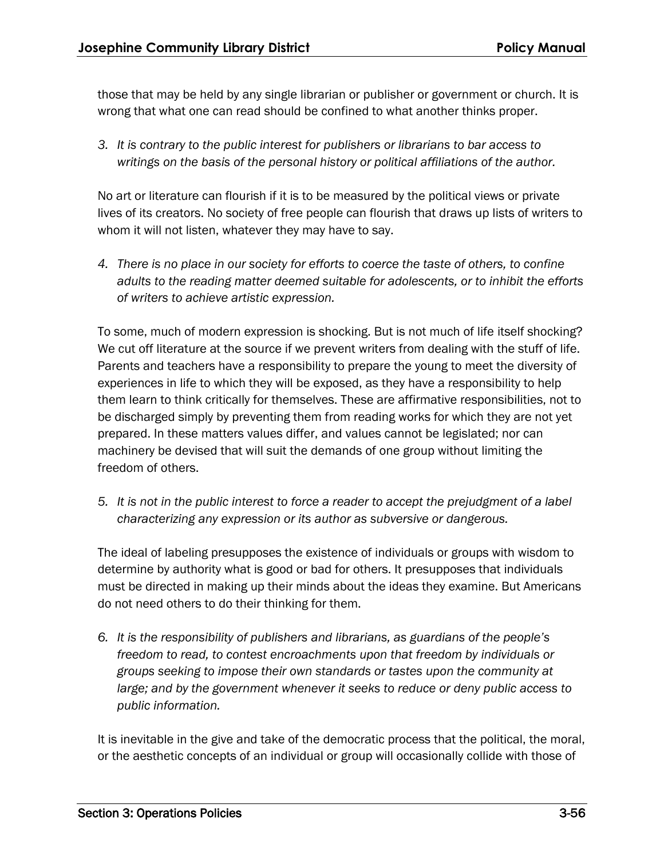those that may be held by any single librarian or publisher or government or church. It is wrong that what one can read should be confined to what another thinks proper.

*3. It is contrary to the public interest for publishers or librarians to bar access to writings on the basis of the personal history or political affiliations of the author.*

No art or literature can flourish if it is to be measured by the political views or private lives of its creators. No society of free people can flourish that draws up lists of writers to whom it will not listen, whatever they may have to say.

*4. There is no place in our society for efforts to coerce the taste of others, to confine adults to the reading matter deemed suitable for adolescents, or to inhibit the efforts of writers to achieve artistic expression.*

To some, much of modern expression is shocking. But is not much of life itself shocking? We cut off literature at the source if we prevent writers from dealing with the stuff of life. Parents and teachers have a responsibility to prepare the young to meet the diversity of experiences in life to which they will be exposed, as they have a responsibility to help them learn to think critically for themselves. These are affirmative responsibilities, not to be discharged simply by preventing them from reading works for which they are not yet prepared. In these matters values differ, and values cannot be legislated; nor can machinery be devised that will suit the demands of one group without limiting the freedom of others.

*5. It is not in the public interest to force a reader to accept the prejudgment of a label characterizing any expression or its author as subversive or dangerous.*

The ideal of labeling presupposes the existence of individuals or groups with wisdom to determine by authority what is good or bad for others. It presupposes that individuals must be directed in making up their minds about the ideas they examine. But Americans do not need others to do their thinking for them.

*6. It is the responsibility of publishers and librarians, as guardians of the people's freedom to read, to contest encroachments upon that freedom by individuals or groups seeking to impose their own standards or tastes upon the community at large; and by the government whenever it seeks to reduce or deny public access to public information.*

It is inevitable in the give and take of the democratic process that the political, the moral, or the aesthetic concepts of an individual or group will occasionally collide with those of